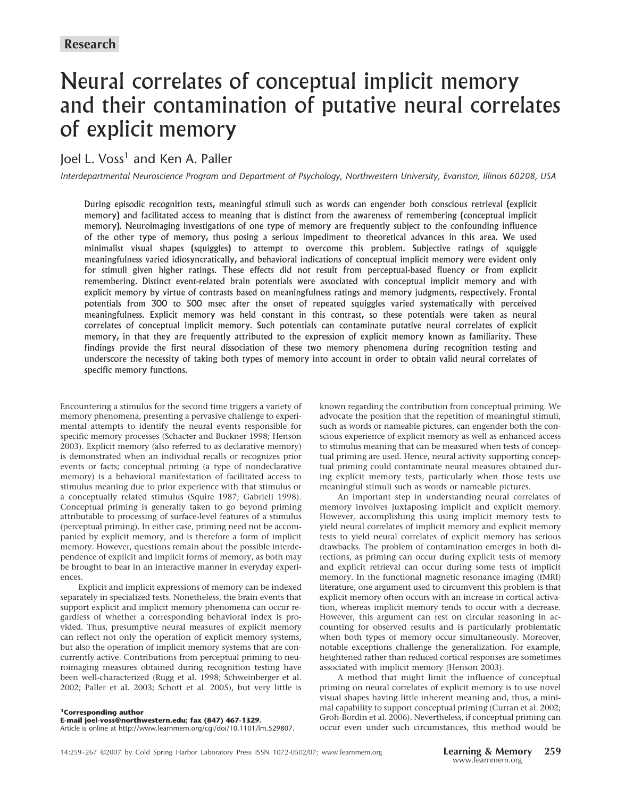# Neural correlates of conceptual implicit memory and their contamination of putative neural correlates of explicit memory

# Joel L. Voss<sup>1</sup> and Ken A. Paller

*Interdepartmental Neuroscience Program and Department of Psychology, Northwestern University, Evanston, Illinois 60208, USA*

During episodic recognition tests, meaningful stimuli such as words can engender both conscious retrieval (explicit memory) and facilitated access to meaning that is distinct from the awareness of remembering (conceptual implicit memory). Neuroimaging investigations of one type of memory are frequently subject to the confounding influence of the other type of memory, thus posing a serious impediment to theoretical advances in this area. We used minimalist visual shapes (squiggles) to attempt to overcome this problem. Subjective ratings of squiggle meaningfulness varied idiosyncratically, and behavioral indications of conceptual implicit memory were evident only for stimuli given higher ratings. These effects did not result from perceptual-based fluency or from explicit remembering. Distinct event-related brain potentials were associated with conceptual implicit memory and with explicit memory by virtue of contrasts based on meaningfulness ratings and memory judgments, respectively. Frontal potentials from 300 to 500 msec after the onset of repeated squiggles varied systematically with perceived meaningfulness. Explicit memory was held constant in this contrast, so these potentials were taken as neural correlates of conceptual implicit memory. Such potentials can contaminate putative neural correlates of explicit memory, in that they are frequently attributed to the expression of explicit memory known as familiarity. These findings provide the first neural dissociation of these two memory phenomena during recognition testing and underscore the necessity of taking both types of memory into account in order to obtain valid neural correlates of specific memory functions.

Encountering a stimulus for the second time triggers a variety of memory phenomena, presenting a pervasive challenge to experimental attempts to identify the neural events responsible for specific memory processes (Schacter and Buckner 1998; Henson 2003). Explicit memory (also referred to as declarative memory) is demonstrated when an individual recalls or recognizes prior events or facts; conceptual priming (a type of nondeclarative memory) is a behavioral manifestation of facilitated access to stimulus meaning due to prior experience with that stimulus or a conceptually related stimulus (Squire 1987; Gabrieli 1998). Conceptual priming is generally taken to go beyond priming attributable to processing of surface-level features of a stimulus (perceptual priming). In either case, priming need not be accompanied by explicit memory, and is therefore a form of implicit memory. However, questions remain about the possible interdependence of explicit and implicit forms of memory, as both may be brought to bear in an interactive manner in everyday experiences.

Explicit and implicit expressions of memory can be indexed separately in specialized tests. Nonetheless, the brain events that support explicit and implicit memory phenomena can occur regardless of whether a corresponding behavioral index is provided. Thus, presumptive neural measures of explicit memory can reflect not only the operation of explicit memory systems, but also the operation of implicit memory systems that are concurrently active. Contributions from perceptual priming to neuroimaging measures obtained during recognition testing have been well-characterized (Rugg et al. 1998; Schweinberger et al. 2002; Paller et al. 2003; Schott et al. 2005), but very little is

known regarding the contribution from conceptual priming. We advocate the position that the repetition of meaningful stimuli, such as words or nameable pictures, can engender both the conscious experience of explicit memory as well as enhanced access to stimulus meaning that can be measured when tests of conceptual priming are used. Hence, neural activity supporting conceptual priming could contaminate neural measures obtained during explicit memory tests, particularly when those tests use meaningful stimuli such as words or nameable pictures.

An important step in understanding neural correlates of memory involves juxtaposing implicit and explicit memory. However, accomplishing this using implicit memory tests to yield neural correlates of implicit memory and explicit memory tests to yield neural correlates of explicit memory has serious drawbacks. The problem of contamination emerges in both directions, as priming can occur during explicit tests of memory and explicit retrieval can occur during some tests of implicit memory. In the functional magnetic resonance imaging (fMRI) literature, one argument used to circumvent this problem is that explicit memory often occurs with an increase in cortical activation, whereas implicit memory tends to occur with a decrease. However, this argument can rest on circular reasoning in accounting for observed results and is particularly problematic when both types of memory occur simultaneously. Moreover, notable exceptions challenge the generalization. For example, heightened rather than reduced cortical responses are sometimes associated with implicit memory (Henson 2003).

A method that might limit the influence of conceptual priming on neural correlates of explicit memory is to use novel visual shapes having little inherent meaning and, thus, a minimal capability to support conceptual priming (Curran et al. 2002; Groh-Bordin et al. 2006). Nevertheless, if conceptual priming can occur even under such circumstances, this method would be

Article is online at http://www.learnmem.org/cgi/doi/10.1101/lm.529807.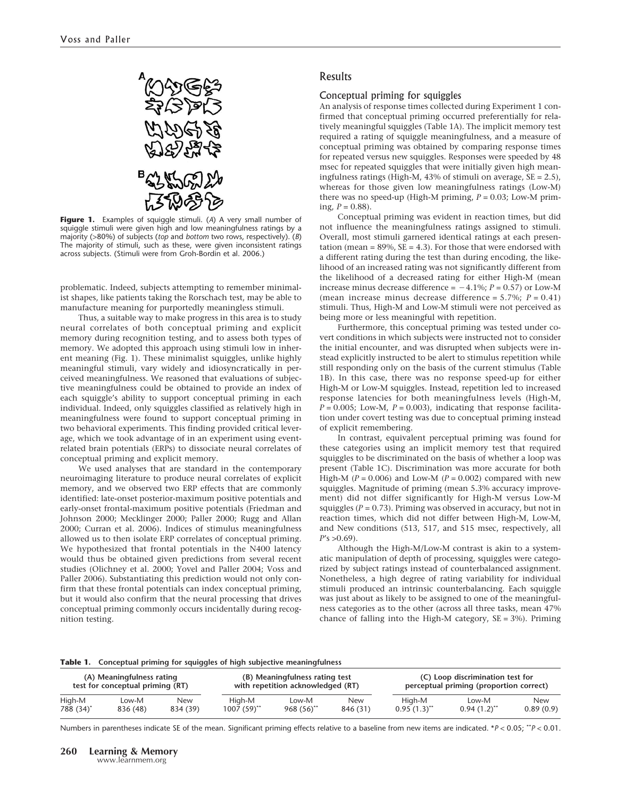

**Figure 1.** Examples of squiggle stimuli. (*A*) A very small number of squiggle stimuli were given high and low meaningfulness ratings by a majority (>80%) of subjects (*top* and *bottom* two rows, respectively). (*B*) The majority of stimuli, such as these, were given inconsistent ratings across subjects. (Stimuli were from Groh-Bordin et al. 2006.)

problematic. Indeed, subjects attempting to remember minimalist shapes, like patients taking the Rorschach test, may be able to manufacture meaning for purportedly meaningless stimuli.

Thus, a suitable way to make progress in this area is to study neural correlates of both conceptual priming and explicit memory during recognition testing, and to assess both types of memory. We adopted this approach using stimuli low in inherent meaning (Fig. 1). These minimalist squiggles, unlike highly meaningful stimuli, vary widely and idiosyncratically in perceived meaningfulness. We reasoned that evaluations of subjective meaningfulness could be obtained to provide an index of each squiggle's ability to support conceptual priming in each individual. Indeed, only squiggles classified as relatively high in meaningfulness were found to support conceptual priming in two behavioral experiments. This finding provided critical leverage, which we took advantage of in an experiment using eventrelated brain potentials (ERPs) to dissociate neural correlates of conceptual priming and explicit memory.

We used analyses that are standard in the contemporary neuroimaging literature to produce neural correlates of explicit memory, and we observed two ERP effects that are commonly identified: late-onset posterior-maximum positive potentials and early-onset frontal-maximum positive potentials (Friedman and Johnson 2000; Mecklinger 2000; Paller 2000; Rugg and Allan 2000; Curran et al. 2006). Indices of stimulus meaningfulness allowed us to then isolate ERP correlates of conceptual priming. We hypothesized that frontal potentials in the N400 latency would thus be obtained given predictions from several recent studies (Olichney et al. 2000; Yovel and Paller 2004; Voss and Paller 2006). Substantiating this prediction would not only confirm that these frontal potentials can index conceptual priming, but it would also confirm that the neural processing that drives conceptual priming commonly occurs incidentally during recognition testing.

# Results

# Conceptual priming for squiggles

An analysis of response times collected during Experiment 1 confirmed that conceptual priming occurred preferentially for relatively meaningful squiggles (Table 1A). The implicit memory test required a rating of squiggle meaningfulness, and a measure of conceptual priming was obtained by comparing response times for repeated versus new squiggles. Responses were speeded by 48 msec for repeated squiggles that were initially given high meaningfulness ratings (High-M, 43% of stimuli on average, SE = 2.5), whereas for those given low meaningfulness ratings (Low-M) there was no speed-up (High-M priming, *P* = 0.03; Low-M priming,  $P = 0.88$ ).

Conceptual priming was evident in reaction times, but did not influence the meaningfulness ratings assigned to stimuli. Overall, most stimuli garnered identical ratings at each presentation (mean =  $89\%$ , SE = 4.3). For those that were endorsed with a different rating during the test than during encoding, the likelihood of an increased rating was not significantly different from the likelihood of a decreased rating for either High-M (mean increase minus decrease difference =  $-4.1\%$ ;  $P = 0.57$ ) or Low-M (mean increase minus decrease difference = 5.7%; *P* = 0.41) stimuli. Thus, High-M and Low-M stimuli were not perceived as being more or less meaningful with repetition.

Furthermore, this conceptual priming was tested under covert conditions in which subjects were instructed not to consider the initial encounter, and was disrupted when subjects were instead explicitly instructed to be alert to stimulus repetition while still responding only on the basis of the current stimulus (Table 1B). In this case, there was no response speed-up for either High-M or Low-M squiggles. Instead, repetition led to increased response latencies for both meaningfulness levels (High-M,  $P = 0.005$ ; Low-M,  $P = 0.003$ ), indicating that response facilitation under covert testing was due to conceptual priming instead of explicit remembering.

In contrast, equivalent perceptual priming was found for these categories using an implicit memory test that required squiggles to be discriminated on the basis of whether a loop was present (Table 1C). Discrimination was more accurate for both High-M  $(P = 0.006)$  and Low-M  $(P = 0.002)$  compared with new squiggles. Magnitude of priming (mean 5.3% accuracy improvement) did not differ significantly for High-M versus Low-M squiggles  $(P = 0.73)$ . Priming was observed in accuracy, but not in reaction times, which did not differ between High-M, Low-M, and New conditions (513, 517, and 515 msec, respectively, all  $P's > 0.69$ .

Although the High-M/Low-M contrast is akin to a systematic manipulation of depth of processing, squiggles were categorized by subject ratings instead of counterbalanced assignment. Nonetheless, a high degree of rating variability for individual stimuli produced an intrinsic counterbalancing. Each squiggle was just about as likely to be assigned to one of the meaningfulness categories as to the other (across all three tasks, mean 47% chance of falling into the High-M category,  $SE = 3\%$ ). Priming

**Table 1. Conceptual priming for squiggles of high subjective meaningfulness**

| (A) Meaningfulness rating        |          |            | (B) Meaningfulness rating test    |                         |            | (C) Loop discrimination test for        |                  |            |
|----------------------------------|----------|------------|-----------------------------------|-------------------------|------------|-----------------------------------------|------------------|------------|
| test for conceptual priming (RT) |          |            | with repetition acknowledged (RT) |                         |            | perceptual priming (proportion correct) |                  |            |
| High-M                           | Low-M    | <b>New</b> | High-M                            | Low-M                   | <b>New</b> | High-M                                  | Low-M            | <b>New</b> |
| 788 (34) <sup>*</sup>            | 836 (48) | 834 (39)   | $1007(59)$ <sup>**</sup>          | $968(56)$ <sup>**</sup> | 846 (31)   | $0.95(1.3)$ <sup>**</sup>               | $0.94(1.2)^{**}$ | 0.89(0.9)  |

Numbers in parentheses indicate SE of the mean. Significant priming effects relative to a baseline from new items are indicated. \**P* < 0.05; \*\**P* < 0.01.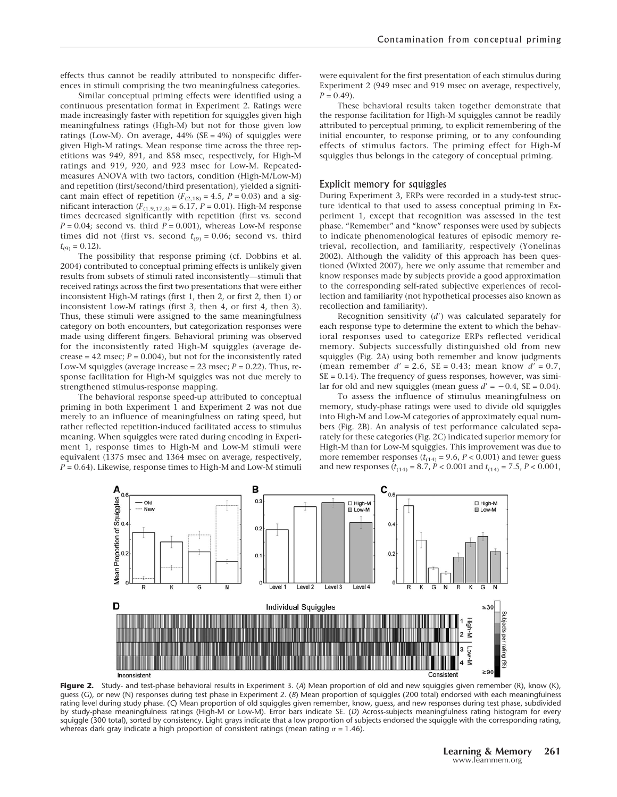effects thus cannot be readily attributed to nonspecific differences in stimuli comprising the two meaningfulness categories.

Similar conceptual priming effects were identified using a continuous presentation format in Experiment 2. Ratings were made increasingly faster with repetition for squiggles given high meaningfulness ratings (High-M) but not for those given low ratings (Low-M). On average,  $44\%$  (SE =  $4\%$ ) of squiggles were given High-M ratings. Mean response time across the three repetitions was 949, 891, and 858 msec, respectively, for High-M ratings and 919, 920, and 923 msec for Low-M. Repeatedmeasures ANOVA with two factors, condition (High-M/Low-M) and repetition (first/second/third presentation), yielded a significant main effect of repetition ( $F_{(2,18)} = 4.5$ ,  $P = 0.03$ ) and a significant interaction  $(F_{(1,9,17,3)} = 6.17, P = 0.01)$ . High-M response times decreased significantly with repetition (first vs. second  $P = 0.04$ ; second vs. third  $P = 0.001$ ), whereas Low-M response times did not (first vs. second  $t_{(9)} = 0.06$ ; second vs. third  $t_{(9)} = 0.12$ .

The possibility that response priming (cf. Dobbins et al. 2004) contributed to conceptual priming effects is unlikely given results from subsets of stimuli rated inconsistently—stimuli that received ratings across the first two presentations that were either inconsistent High-M ratings (first 1, then 2, or first 2, then 1) or inconsistent Low-M ratings (first 3, then 4, or first 4, then 3). Thus, these stimuli were assigned to the same meaningfulness category on both encounters, but categorization responses were made using different fingers. Behavioral priming was observed for the inconsistently rated High-M squiggles (average decrease =  $42$  msec;  $P = 0.004$ ), but not for the inconsistently rated Low-M squiggles (average increase =  $23$  msec;  $P = 0.22$ ). Thus, response facilitation for High-M squiggles was not due merely to strengthened stimulus-response mapping.

The behavioral response speed-up attributed to conceptual priming in both Experiment 1 and Experiment 2 was not due merely to an influence of meaningfulness on rating speed, but rather reflected repetition-induced facilitated access to stimulus meaning. When squiggles were rated during encoding in Experiment 1, response times to High-M and Low-M stimuli were equivalent (1375 msec and 1364 msec on average, respectively, *P* = 0.64). Likewise, response times to High-M and Low-M stimuli

were equivalent for the first presentation of each stimulus during Experiment 2 (949 msec and 919 msec on average, respectively,  $P = 0.49$ .

These behavioral results taken together demonstrate that the response facilitation for High-M squiggles cannot be readily attributed to perceptual priming, to explicit remembering of the initial encounter, to response priming, or to any confounding effects of stimulus factors. The priming effect for High-M squiggles thus belongs in the category of conceptual priming.

#### Explicit memory for squiggles

During Experiment 3, ERPs were recorded in a study-test structure identical to that used to assess conceptual priming in Experiment 1, except that recognition was assessed in the test phase. "Remember" and "know" responses were used by subjects to indicate phenomenological features of episodic memory retrieval, recollection, and familiarity, respectively (Yonelinas 2002). Although the validity of this approach has been questioned (Wixted 2007), here we only assume that remember and know responses made by subjects provide a good approximation to the corresponding self-rated subjective experiences of recollection and familiarity (not hypothetical processes also known as recollection and familiarity).

Recognition sensitivity (*d*-) was calculated separately for each response type to determine the extent to which the behavioral responses used to categorize ERPs reflected veridical memory. Subjects successfully distinguished old from new squiggles (Fig. 2A) using both remember and know judgments (mean remember  $d' = 2.6$ , SE = 0.43; mean know  $d' = 0.7$ , SE = 0.14). The frequency of guess responses, however, was similar for old and new squiggles (mean guess  $d' = -0.4$ ,  $SE = 0.04$ ).

To assess the influence of stimulus meaningfulness on memory, study-phase ratings were used to divide old squiggles into High-M and Low-M categories of approximately equal numbers (Fig. 2B). An analysis of test performance calculated separately for these categories (Fig. 2C) indicated superior memory for High-M than for Low-M squiggles. This improvement was due to more remember responses  $(t<sub>(14)</sub> = 9.6, P < 0.001)$  and fewer guess and new responses  $(t_{(14)} = 8.7, P < 0.001$  and  $t_{(14)} = 7.5, P < 0.001$ ,



**Figure 2.** Study- and test-phase behavioral results in Experiment 3. (*A*) Mean proportion of old and new squiggles given remember (R), know (K), guess (G), or new (N) responses during test phase in Experiment 2. (*B*) Mean proportion of squiggles (200 total) endorsed with each meaningfulness rating level during study phase. (*C*) Mean proportion of old squiggles given remember, know, guess, and new responses during test phase, subdivided by study-phase meaningfulness ratings (High-M or Low-M). Error bars indicate SE. (*D*) Across-subjects meaningfulness rating histogram for every squiggle (300 total), sorted by consistency. Light grays indicate that a low proportion of subjects endorsed the squiggle with the corresponding rating, whereas dark gray indicate a high proportion of consistent ratings (mean rating  $\sigma = 1.46$ ).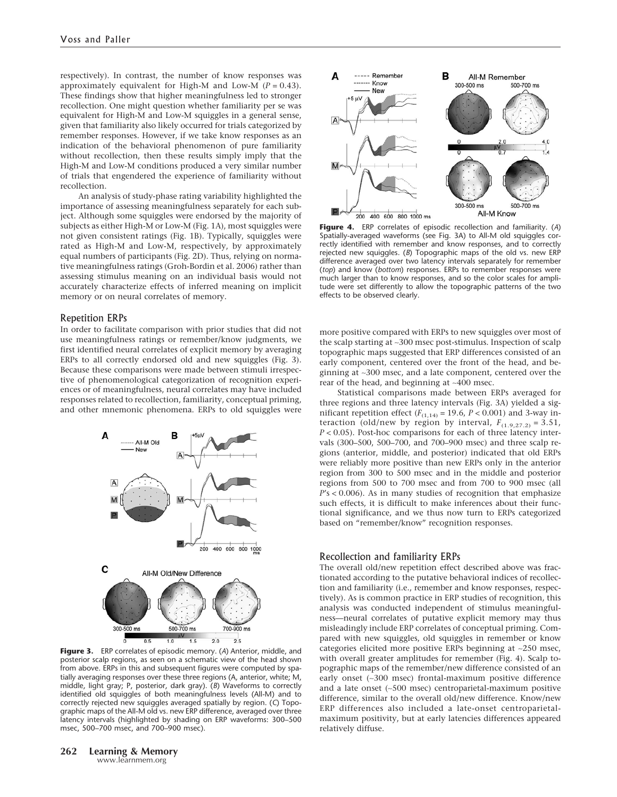respectively). In contrast, the number of know responses was approximately equivalent for High-M and Low-M  $(P = 0.43)$ . These findings show that higher meaningfulness led to stronger recollection. One might question whether familiarity per se was equivalent for High-M and Low-M squiggles in a general sense, given that familiarity also likely occurred for trials categorized by remember responses. However, if we take know responses as an indication of the behavioral phenomenon of pure familiarity without recollection, then these results simply imply that the High-M and Low-M conditions produced a very similar number of trials that engendered the experience of familiarity without recollection.

An analysis of study-phase rating variability highlighted the importance of assessing meaningfulness separately for each subject. Although some squiggles were endorsed by the majority of subjects as either High-M or Low-M (Fig. 1A), most squiggles were not given consistent ratings (Fig. 1B). Typically, squiggles were rated as High-M and Low-M, respectively, by approximately equal numbers of participants (Fig. 2D). Thus, relying on normative meaningfulness ratings (Groh-Bordin et al. 2006) rather than assessing stimulus meaning on an individual basis would not accurately characterize effects of inferred meaning on implicit memory or on neural correlates of memory.

# Repetition ERPs

In order to facilitate comparison with prior studies that did not use meaningfulness ratings or remember/know judgments, we first identified neural correlates of explicit memory by averaging ERPs to all correctly endorsed old and new squiggles (Fig. 3). Because these comparisons were made between stimuli irrespective of phenomenological categorization of recognition experiences or of meaningfulness, neural correlates may have included responses related to recollection, familiarity, conceptual priming, and other mnemonic phenomena. ERPs to old squiggles were



**Figure 3.** ERP correlates of episodic memory. (*A*) Anterior, middle, and posterior scalp regions, as seen on a schematic view of the head shown from above. ERPs in this and subsequent figures were computed by spatially averaging responses over these three regions (A, anterior, white; M, middle, light gray; P, posterior, dark gray). (*B*) Waveforms to correctly identified old squiggles of both meaningfulness levels (All-M) and to correctly rejected new squiggles averaged spatially by region. (*C*) Topographic maps of the All-M old vs. new ERP difference, averaged over three latency intervals (highlighted by shading on ERP waveforms: 300–500 msec, 500–700 msec, and 700–900 msec).



**Figure 4.** ERP correlates of episodic recollection and familiarity. (*A*) Spatially-averaged waveforms (see Fig. 3A) to All-M old squiggles correctly identified with remember and know responses, and to correctly rejected new squiggles. (*B*) Topographic maps of the old vs. new ERP difference averaged over two latency intervals separately for remember (*top*) and know (*bottom*) responses. ERPs to remember responses were much larger than to know responses, and so the color scales for amplitude were set differently to allow the topographic patterns of the two effects to be observed clearly.

more positive compared with ERPs to new squiggles over most of the scalp starting at ∼300 msec post-stimulus. Inspection of scalp topographic maps suggested that ERP differences consisted of an early component, centered over the front of the head, and beginning at ∼300 msec, and a late component, centered over the rear of the head, and beginning at ∼400 msec.

Statistical comparisons made between ERPs averaged for three regions and three latency intervals (Fig. 3A) yielded a significant repetition effect ( $F_{(1,14)}$  = 19.6,  $P < 0.001$ ) and 3-way interaction (old/new by region by interval,  $F_{(1.9,27.2)} = 3.51$ , *P* < 0.05). Post-hoc comparisons for each of three latency intervals (300–500, 500–700, and 700–900 msec) and three scalp regions (anterior, middle, and posterior) indicated that old ERPs were reliably more positive than new ERPs only in the anterior region from 300 to 500 msec and in the middle and posterior regions from 500 to 700 msec and from 700 to 900 msec (all *P*'s < 0.006). As in many studies of recognition that emphasize such effects, it is difficult to make inferences about their functional significance, and we thus now turn to ERPs categorized based on "remember/know" recognition responses.

# Recollection and familiarity ERPs

The overall old/new repetition effect described above was fractionated according to the putative behavioral indices of recollection and familiarity (i.e., remember and know responses, respectively). As is common practice in ERP studies of recognition, this analysis was conducted independent of stimulus meaningfulness—neural correlates of putative explicit memory may thus misleadingly include ERP correlates of conceptual priming. Compared with new squiggles, old squiggles in remember or know categories elicited more positive ERPs beginning at ∼250 msec, with overall greater amplitudes for remember (Fig. 4). Scalp topographic maps of the remember/new difference consisted of an early onset (∼300 msec) frontal-maximum positive difference and a late onset (∼500 msec) centroparietal-maximum positive difference, similar to the overall old/new difference. Know/new ERP differences also included a late-onset centroparietalmaximum positivity, but at early latencies differences appeared relatively diffuse.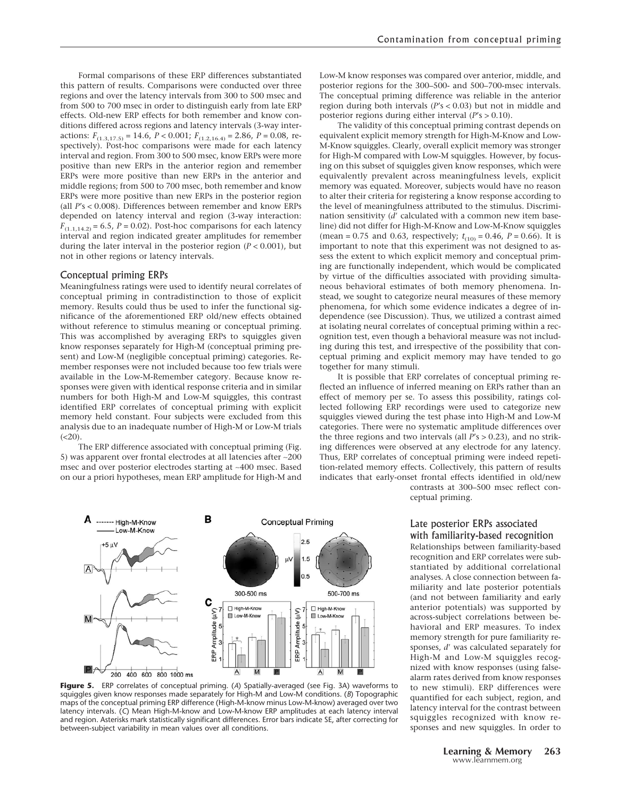Formal comparisons of these ERP differences substantiated this pattern of results. Comparisons were conducted over three regions and over the latency intervals from 300 to 500 msec and from 500 to 700 msec in order to distinguish early from late ERP effects. Old-new ERP effects for both remember and know conditions differed across regions and latency intervals (3-way interactions:  $F_{(1.3,17.5)} = 14.6$ ,  $P < 0.001$ ;  $F_{(1.2,16.4)} = 2.86$ ,  $P = 0.08$ , respectively). Post-hoc comparisons were made for each latency interval and region. From 300 to 500 msec, know ERPs were more positive than new ERPs in the anterior region and remember ERPs were more positive than new ERPs in the anterior and middle regions; from 500 to 700 msec, both remember and know ERPs were more positive than new ERPs in the posterior region (all *P*'s < 0.008). Differences between remember and know ERPs depended on latency interval and region (3-way interaction:  $F_{(1.1,14.2)} = 6.5$ ,  $P = 0.02$ ). Post-hoc comparisons for each latency interval and region indicated greater amplitudes for remember during the later interval in the posterior region (*P* < 0.001), but not in other regions or latency intervals.

#### Conceptual priming ERPs

Meaningfulness ratings were used to identify neural correlates of conceptual priming in contradistinction to those of explicit memory. Results could thus be used to infer the functional significance of the aforementioned ERP old/new effects obtained without reference to stimulus meaning or conceptual priming. This was accomplished by averaging ERPs to squiggles given know responses separately for High-M (conceptual priming present) and Low-M (negligible conceptual priming) categories. Remember responses were not included because too few trials were available in the Low-M-Remember category. Because know responses were given with identical response criteria and in similar numbers for both High-M and Low-M squiggles, this contrast identified ERP correlates of conceptual priming with explicit memory held constant. Four subjects were excluded from this analysis due to an inadequate number of High-M or Low-M trials  $(**20**).$ 

The ERP difference associated with conceptual priming (Fig. 5) was apparent over frontal electrodes at all latencies after ∼200 msec and over posterior electrodes starting at ∼400 msec. Based on our a priori hypotheses, mean ERP amplitude for High-M and Low-M know responses was compared over anterior, middle, and posterior regions for the 300–500- and 500–700-msec intervals. The conceptual priming difference was reliable in the anterior region during both intervals (*P*'s < 0.03) but not in middle and posterior regions during either interval (*P*'s > 0.10).

The validity of this conceptual priming contrast depends on equivalent explicit memory strength for High-M-Know and Low-M-Know squiggles. Clearly, overall explicit memory was stronger for High-M compared with Low-M squiggles. However, by focusing on this subset of squiggles given know responses, which were equivalently prevalent across meaningfulness levels, explicit memory was equated. Moreover, subjects would have no reason to alter their criteria for registering a know response according to the level of meaningfulness attributed to the stimulus. Discrimination sensitivity (d' calculated with a common new item baseline) did not differ for High-M-Know and Low-M-Know squiggles (mean = 0.75 and 0.63, respectively;  $t_{(10)} = 0.46$ ,  $P = 0.66$ ). It is important to note that this experiment was not designed to assess the extent to which explicit memory and conceptual priming are functionally independent, which would be complicated by virtue of the difficulties associated with providing simultaneous behavioral estimates of both memory phenomena. Instead, we sought to categorize neural measures of these memory phenomena, for which some evidence indicates a degree of independence (see Discussion). Thus, we utilized a contrast aimed at isolating neural correlates of conceptual priming within a recognition test, even though a behavioral measure was not including during this test, and irrespective of the possibility that conceptual priming and explicit memory may have tended to go together for many stimuli.

It is possible that ERP correlates of conceptual priming reflected an influence of inferred meaning on ERPs rather than an effect of memory per se. To assess this possibility, ratings collected following ERP recordings were used to categorize new squiggles viewed during the test phase into High-M and Low-M categories. There were no systematic amplitude differences over the three regions and two intervals (all *P*'s > 0.23), and no striking differences were observed at any electrode for any latency. Thus, ERP correlates of conceptual priming were indeed repetition-related memory effects. Collectively, this pattern of results indicates that early-onset frontal effects identified in old/new contrasts at 300–500 msec reflect con-

ceptual priming.

# Late posterior ERPs associated with familiarity-based recognition

Relationships between familiarity-based recognition and ERP correlates were substantiated by additional correlational analyses. A close connection between familiarity and late posterior potentials (and not between familiarity and early anterior potentials) was supported by across-subject correlations between behavioral and ERP measures. To index memory strength for pure familiarity responses, *d'* was calculated separately for High-M and Low-M squiggles recognized with know responses (using falsealarm rates derived from know responses to new stimuli). ERP differences were quantified for each subject, region, and latency interval for the contrast between squiggles recognized with know responses and new squiggles. In order to

B ------- High-M-Know **Conceptual Priming** -Low-M-Know  $2.5$  $-5 \mu V$  $1<sub>5</sub>$ 300-500 ms 500-700 ms с High-M-Know □ High-M-Know ξ, ξg Low-M-Know  $\Box$  Lo M.Kn Amplitude Amplitude ERP 200 400 600 800 1000 ms

**Figure 5.** ERP correlates of conceptual priming. (*A*) Spatially-averaged (see Fig. 3A) waveforms to squiggles given know responses made separately for High-M and Low-M conditions. (*B*) Topographic maps of the conceptual priming ERP difference (High-M-know minus Low-M-know) averaged over two latency intervals. (*C*) Mean High-M-know and Low-M-know ERP amplitudes at each latency interval and region. Asterisks mark statistically significant differences. Error bars indicate SE, after correcting for between-subject variability in mean values over all conditions.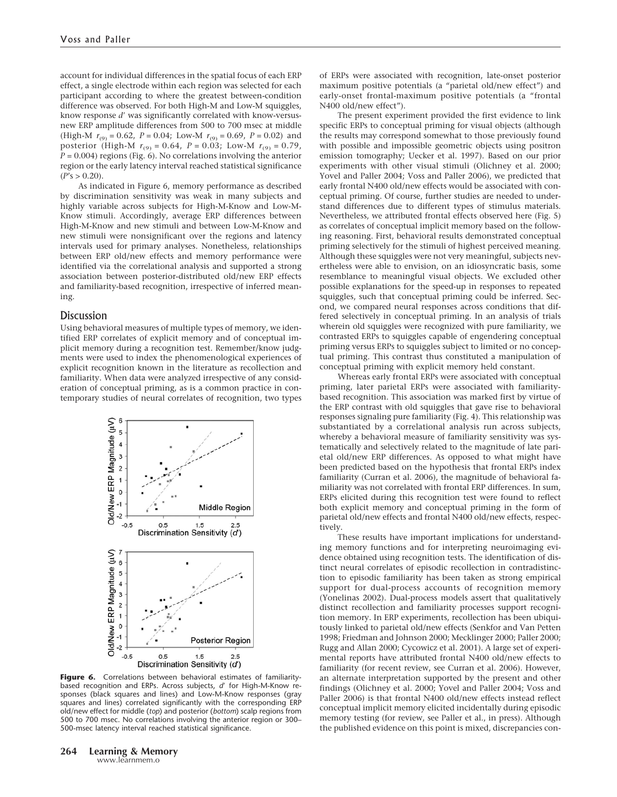account for individual differences in the spatial focus of each ERP effect, a single electrode within each region was selected for each participant according to where the greatest between-condition difference was observed. For both High-M and Low-M squiggles, know response d' was significantly correlated with know-versusnew ERP amplitude differences from 500 to 700 msec at middle (High-M  $r_{(9)} = 0.62$ ,  $P = 0.04$ ; Low-M  $r_{(9)} = 0.69$ ,  $P = 0.02$ ) and posterior (High-M  $r_{(9)} = 0.64$ ,  $P = 0.03$ ; Low-M  $r_{(9)} = 0.79$ , *P* = 0.004) regions (Fig. 6). No correlations involving the anterior region or the early latency interval reached statistical significance  $(P's > 0.20)$ .

As indicated in Figure 6, memory performance as described by discrimination sensitivity was weak in many subjects and highly variable across subjects for High-M-Know and Low-M-Know stimuli. Accordingly, average ERP differences between High-M-Know and new stimuli and between Low-M-Know and new stimuli were nonsignificant over the regions and latency intervals used for primary analyses. Nonetheless, relationships between ERP old/new effects and memory performance were identified via the correlational analysis and supported a strong association between posterior-distributed old/new ERP effects and familiarity-based recognition, irrespective of inferred meaning.

# **Discussion**

Using behavioral measures of multiple types of memory, we identified ERP correlates of explicit memory and of conceptual implicit memory during a recognition test. Remember/know judgments were used to index the phenomenological experiences of explicit recognition known in the literature as recollection and familiarity. When data were analyzed irrespective of any consideration of conceptual priming, as is a common practice in contemporary studies of neural correlates of recognition, two types



Figure 6. Correlations between behavioral estimates of familiaritybased recognition and ERPs. Across subjects, d' for High-M-Know responses (black squares and lines) and Low-M-Know responses (gray squares and lines) correlated significantly with the corresponding ERP old/new effect for middle (*top*) and posterior (*bottom*) scalp regions from 500 to 700 msec. No correlations involving the anterior region or 300– 500-msec latency interval reached statistical significance.

of ERPs were associated with recognition, late-onset posterior maximum positive potentials (a "parietal old/new effect") and early-onset frontal-maximum positive potentials (a "frontal N400 old/new effect").

The present experiment provided the first evidence to link specific ERPs to conceptual priming for visual objects (although the results may correspond somewhat to those previously found with possible and impossible geometric objects using positron emission tomography; Uecker et al. 1997). Based on our prior experiments with other visual stimuli (Olichney et al. 2000; Yovel and Paller 2004; Voss and Paller 2006), we predicted that early frontal N400 old/new effects would be associated with conceptual priming. Of course, further studies are needed to understand differences due to different types of stimulus materials. Nevertheless, we attributed frontal effects observed here (Fig. 5) as correlates of conceptual implicit memory based on the following reasoning. First, behavioral results demonstrated conceptual priming selectively for the stimuli of highest perceived meaning. Although these squiggles were not very meaningful, subjects nevertheless were able to envision, on an idiosyncratic basis, some resemblance to meaningful visual objects. We excluded other possible explanations for the speed-up in responses to repeated squiggles, such that conceptual priming could be inferred. Second, we compared neural responses across conditions that differed selectively in conceptual priming. In an analysis of trials wherein old squiggles were recognized with pure familiarity, we contrasted ERPs to squiggles capable of engendering conceptual priming versus ERPs to squiggles subject to limited or no conceptual priming. This contrast thus constituted a manipulation of conceptual priming with explicit memory held constant.

Whereas early frontal ERPs were associated with conceptual priming, later parietal ERPs were associated with familiaritybased recognition. This association was marked first by virtue of the ERP contrast with old squiggles that gave rise to behavioral responses signaling pure familiarity (Fig. 4). This relationship was substantiated by a correlational analysis run across subjects, whereby a behavioral measure of familiarity sensitivity was systematically and selectively related to the magnitude of late parietal old/new ERP differences. As opposed to what might have been predicted based on the hypothesis that frontal ERPs index familiarity (Curran et al. 2006), the magnitude of behavioral familiarity was not correlated with frontal ERP differences. In sum, ERPs elicited during this recognition test were found to reflect both explicit memory and conceptual priming in the form of parietal old/new effects and frontal N400 old/new effects, respectively.

These results have important implications for understanding memory functions and for interpreting neuroimaging evidence obtained using recognition tests. The identification of distinct neural correlates of episodic recollection in contradistinction to episodic familiarity has been taken as strong empirical support for dual-process accounts of recognition memory (Yonelinas 2002). Dual-process models assert that qualitatively distinct recollection and familiarity processes support recognition memory. In ERP experiments, recollection has been ubiquitously linked to parietal old/new effects (Senkfor and Van Petten 1998; Friedman and Johnson 2000; Mecklinger 2000; Paller 2000; Rugg and Allan 2000; Cycowicz et al. 2001). A large set of experimental reports have attributed frontal N400 old/new effects to familiarity (for recent review, see Curran et al. 2006). However, an alternate interpretation supported by the present and other findings (Olichney et al. 2000; Yovel and Paller 2004; Voss and Paller 2006) is that frontal N400 old/new effects instead reflect conceptual implicit memory elicited incidentally during episodic memory testing (for review, see Paller et al., in press). Although the published evidence on this point is mixed, discrepancies con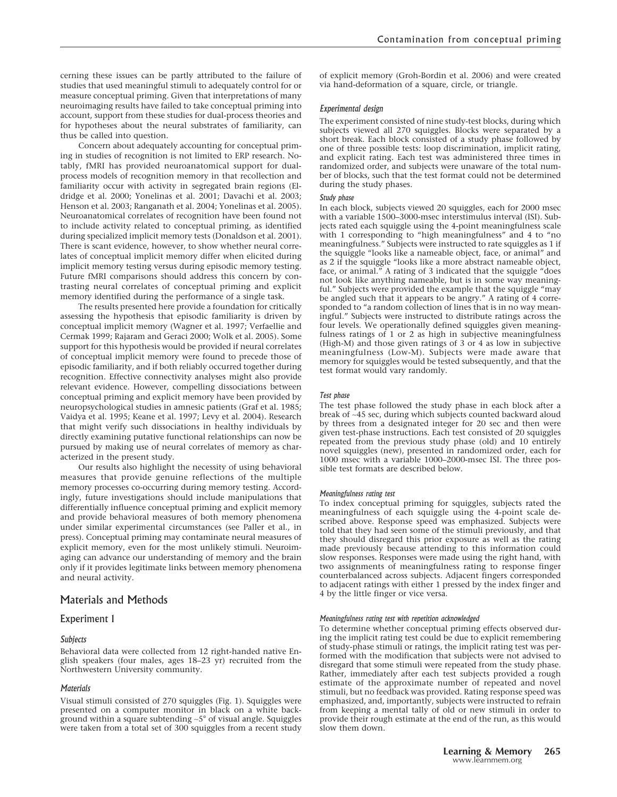studies that used meaningful stimuli to adequately control for or measure conceptual priming. Given that interpretations of many neuroimaging results have failed to take conceptual priming into account, support from these studies for dual-process theories and for hypotheses about the neural substrates of familiarity, can thus be called into question.

Concern about adequately accounting for conceptual priming in studies of recognition is not limited to ERP research. Notably, fMRI has provided neuroanatomical support for dualprocess models of recognition memory in that recollection and familiarity occur with activity in segregated brain regions (Eldridge et al. 2000; Yonelinas et al. 2001; Davachi et al. 2003; Henson et al. 2003; Ranganath et al. 2004; Yonelinas et al. 2005). Neuroanatomical correlates of recognition have been found not to include activity related to conceptual priming, as identified during specialized implicit memory tests (Donaldson et al. 2001). There is scant evidence, however, to show whether neural correlates of conceptual implicit memory differ when elicited during implicit memory testing versus during episodic memory testing. Future fMRI comparisons should address this concern by contrasting neural correlates of conceptual priming and explicit memory identified during the performance of a single task.

The results presented here provide a foundation for critically assessing the hypothesis that episodic familiarity is driven by conceptual implicit memory (Wagner et al. 1997; Verfaellie and Cermak 1999; Rajaram and Geraci 2000; Wolk et al. 2005). Some support for this hypothesis would be provided if neural correlates of conceptual implicit memory were found to precede those of episodic familiarity, and if both reliably occurred together during recognition. Effective connectivity analyses might also provide relevant evidence. However, compelling dissociations between conceptual priming and explicit memory have been provided by neuropsychological studies in amnesic patients (Graf et al. 1985; Vaidya et al. 1995; Keane et al. 1997; Levy et al. 2004). Research that might verify such dissociations in healthy individuals by directly examining putative functional relationships can now be pursued by making use of neural correlates of memory as characterized in the present study.

Our results also highlight the necessity of using behavioral measures that provide genuine reflections of the multiple memory processes co-occurring during memory testing. Accordingly, future investigations should include manipulations that differentially influence conceptual priming and explicit memory and provide behavioral measures of both memory phenomena under similar experimental circumstances (see Paller et al., in press). Conceptual priming may contaminate neural measures of explicit memory, even for the most unlikely stimuli. Neuroimaging can advance our understanding of memory and the brain only if it provides legitimate links between memory phenomena and neural activity.

# Materials and Methods

# Experiment 1

# *Subjects*

Behavioral data were collected from 12 right-handed native English speakers (four males, ages 18–23 yr) recruited from the Northwestern University community.

# *Materials*

Visual stimuli consisted of 270 squiggles (Fig. 1). Squiggles were presented on a computer monitor in black on a white background within a square subtending ∼5° of visual angle. Squiggles were taken from a total set of 300 squiggles from a recent study of explicit memory (Groh-Bordin et al. 2006) and were created via hand-deformation of a square, circle, or triangle.

### *Experimental design*

The experiment consisted of nine study-test blocks, during which subjects viewed all 270 squiggles. Blocks were separated by a short break. Each block consisted of a study phase followed by one of three possible tests: loop discrimination, implicit rating, and explicit rating. Each test was administered three times in randomized order, and subjects were unaware of the total number of blocks, such that the test format could not be determined during the study phases.

#### *Study phase*

In each block, subjects viewed 20 squiggles, each for 2000 msec with a variable 1500–3000-msec interstimulus interval (ISI). Subjects rated each squiggle using the 4-point meaningfulness scale with 1 corresponding to "high meaningfulness" and 4 to "no meaningfulness." Subjects were instructed to rate squiggles as 1 if the squiggle "looks like a nameable object, face, or animal" and as 2 if the squiggle "looks like a more abstract nameable object, face, or animal." A rating of 3 indicated that the squiggle "does not look like anything nameable, but is in some way meaningful." Subjects were provided the example that the squiggle "may be angled such that it appears to be angry." A rating of 4 corresponded to "a random collection of lines that is in no way meaningful." Subjects were instructed to distribute ratings across the four levels. We operationally defined squiggles given meaningfulness ratings of 1 or 2 as high in subjective meaningfulness (High-M) and those given ratings of 3 or 4 as low in subjective meaningfulness (Low-M). Subjects were made aware that memory for squiggles would be tested subsequently, and that the test format would vary randomly.

#### *Test phase*

The test phase followed the study phase in each block after a break of ∼45 sec, during which subjects counted backward aloud by threes from a designated integer for 20 sec and then were given test-phase instructions. Each test consisted of 20 squiggles repeated from the previous study phase (old) and 10 entirely novel squiggles (new), presented in randomized order, each for 1000 msec with a variable 1000–2000-msec ISI. The three possible test formats are described below.

#### *Meaningfulness rating test*

To index conceptual priming for squiggles, subjects rated the meaningfulness of each squiggle using the 4-point scale described above. Response speed was emphasized. Subjects were told that they had seen some of the stimuli previously, and that they should disregard this prior exposure as well as the rating made previously because attending to this information could slow responses. Responses were made using the right hand, with two assignments of meaningfulness rating to response finger counterbalanced across subjects. Adjacent fingers corresponded to adjacent ratings with either 1 pressed by the index finger and 4 by the little finger or vice versa.

#### *Meaningfulness rating test with repetition acknowledged*

To determine whether conceptual priming effects observed during the implicit rating test could be due to explicit remembering of study-phase stimuli or ratings, the implicit rating test was performed with the modification that subjects were not advised to disregard that some stimuli were repeated from the study phase. Rather, immediately after each test subjects provided a rough estimate of the approximate number of repeated and novel stimuli, but no feedback was provided. Rating response speed was emphasized, and, importantly, subjects were instructed to refrain from keeping a mental tally of old or new stimuli in order to provide their rough estimate at the end of the run, as this would slow them down.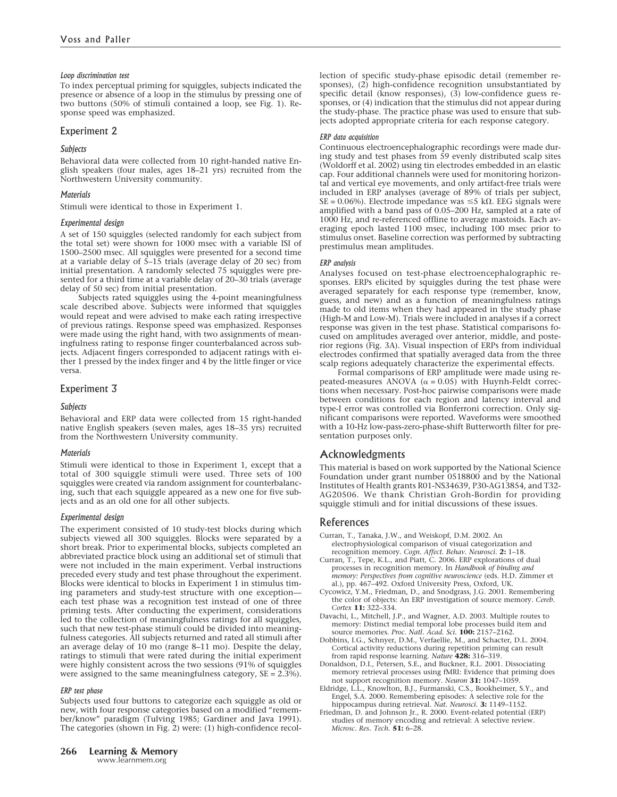# *Loop discrimination test*

To index perceptual priming for squiggles, subjects indicated the presence or absence of a loop in the stimulus by pressing one of two buttons (50% of stimuli contained a loop, see Fig. 1). Response speed was emphasized.

# Experiment 2

### *Subjects*

Behavioral data were collected from 10 right-handed native English speakers (four males, ages 18–21 yrs) recruited from the Northwestern University community.

# *Materials*

Stimuli were identical to those in Experiment 1.

# *Experimental design*

A set of 150 squiggles (selected randomly for each subject from the total set) were shown for 1000 msec with a variable ISI of 1500–2500 msec. All squiggles were presented for a second time at a variable delay of 5–15 trials (average delay of 20 sec) from initial presentation. A randomly selected 75 squiggles were presented for a third time at a variable delay of 20–30 trials (average delay of 50 sec) from initial presentation.

Subjects rated squiggles using the 4-point meaningfulness scale described above. Subjects were informed that squiggles would repeat and were advised to make each rating irrespective of previous ratings. Response speed was emphasized. Responses were made using the right hand, with two assignments of meaningfulness rating to response finger counterbalanced across subjects. Adjacent fingers corresponded to adjacent ratings with either 1 pressed by the index finger and 4 by the little finger or vice versa.

# Experiment 3

# *Subjects*

Behavioral and ERP data were collected from 15 right-handed native English speakers (seven males, ages 18–35 yrs) recruited from the Northwestern University community.

# *Materials*

Stimuli were identical to those in Experiment 1, except that a total of 300 squiggle stimuli were used. Three sets of 100 squiggles were created via random assignment for counterbalancing, such that each squiggle appeared as a new one for five subjects and as an old one for all other subjects.

# *Experimental design*

The experiment consisted of 10 study-test blocks during which subjects viewed all 300 squiggles. Blocks were separated by a short break. Prior to experimental blocks, subjects completed an abbreviated practice block using an additional set of stimuli that were not included in the main experiment. Verbal instructions preceded every study and test phase throughout the experiment. Blocks were identical to blocks in Experiment 1 in stimulus timing parameters and study-test structure with one exception each test phase was a recognition test instead of one of three priming tests. After conducting the experiment, considerations led to the collection of meaningfulness ratings for all squiggles, such that new test-phase stimuli could be divided into meaningfulness categories. All subjects returned and rated all stimuli after an average delay of 10 mo (range 8–11 mo). Despite the delay, ratings to stimuli that were rated during the initial experiment were highly consistent across the two sessions (91% of squiggles were assigned to the same meaningfulness category, SE = 2.3%).

#### *ERP test phase*

Subjects used four buttons to categorize each squiggle as old or new, with four response categories based on a modified "remember/know" paradigm (Tulving 1985; Gardiner and Java 1991). The categories (shown in Fig. 2) were: (1) high-confidence recol-

#### *ERP data acquisition*

Continuous electroencephalographic recordings were made during study and test phases from 59 evenly distributed scalp sites (Woldorff et al. 2002) using tin electrodes embedded in an elastic cap. Four additional channels were used for monitoring horizontal and vertical eye movements, and only artifact-free trials were included in ERP analyses (average of 89% of trials per subject,  $SE = 0.06\%$ ). Electrode impedance was  $\leq 5$  k $\Omega$ . EEG signals were amplified with a band pass of 0.05–200 Hz, sampled at a rate of 1000 Hz, and re-referenced offline to average mastoids. Each averaging epoch lasted 1100 msec, including 100 msec prior to stimulus onset. Baseline correction was performed by subtracting prestimulus mean amplitudes.

#### *ERP analysis*

Analyses focused on test-phase electroencephalographic responses. ERPs elicited by squiggles during the test phase were averaged separately for each response type (remember, know, guess, and new) and as a function of meaningfulness ratings made to old items when they had appeared in the study phase (High-M and Low-M). Trials were included in analyses if a correct response was given in the test phase. Statistical comparisons focused on amplitudes averaged over anterior, middle, and posterior regions (Fig. 3A). Visual inspection of ERPs from individual electrodes confirmed that spatially averaged data from the three scalp regions adequately characterize the experimental effects.

Formal comparisons of ERP amplitude were made using repeated-measures ANOVA  $(\alpha = 0.05)$  with Huynh-Feldt corrections when necessary. Post-hoc pairwise comparisons were made between conditions for each region and latency interval and type-I error was controlled via Bonferroni correction. Only significant comparisons were reported. Waveforms were smoothed with a 10-Hz low-pass-zero-phase-shift Butterworth filter for presentation purposes only.

# Acknowledgments

This material is based on work supported by the National Science Foundation under grant number 0518800 and by the National Institutes of Health grants R01-NS34639, P30-AG13854, and T32- AG20506. We thank Christian Groh-Bordin for providing squiggle stimuli and for initial discussions of these issues.

# References

- Curran, T., Tanaka, J.W., and Weiskopf, D.M. 2002. An electrophysiological comparison of visual categorization and recognition memory. *Cogn. Affect. Behav. Neurosci.* **2:** 1–18.
- Curran, T., Tepe, K.L., and Piatt, C. 2006. ERP explorations of dual processes in recognition memory. In *Handbook of binding and memory: Perspectives from cognitive neuroscience* (eds. H.D. Zimmer et al.), pp. 467–492. Oxford University Press, Oxford, UK.
- Cycowicz, Y.M., Friedman, D., and Snodgrass, J.G. 2001. Remembering the color of objects: An ERP investigation of source memory. *Cereb. Cortex* **11:** 322–334.
- Davachi, L., Mitchell, J.P., and Wagner, A.D. 2003. Multiple routes to memory: Distinct medial temporal lobe processes build item and source memories. *Proc. Natl. Acad. Sci.* **100:** 2157–2162.
- Dobbins, I.G., Schnyer, D.M., Verfaellie, M., and Schacter, D.L. 2004. Cortical activity reductions during repetition priming can result
- from rapid response learning. *Nature* **428:** 316–319. Donaldson, D.I., Petersen, S.E., and Buckner, R.L. 2001. Dissociating memory retrieval processes using fMRI: Evidence that priming does
- not support recognition memory. *Neuron* **31:** 1047–1059. Eldridge, L.L., Knowlton, B.J., Furmanski, C.S., Bookheimer, S.Y., and Engel, S.A. 2000. Remembering episodes: A selective role for the hippocampus during retrieval. *Nat. Neurosci.* **3:** 1149–1152. Friedman, D. and Johnson Jr., R. 2000. Event-related potential (ERP)
- studies of memory encoding and retrieval: A selective review. *Microsc. Res. Tech.* **51:** 6–28.